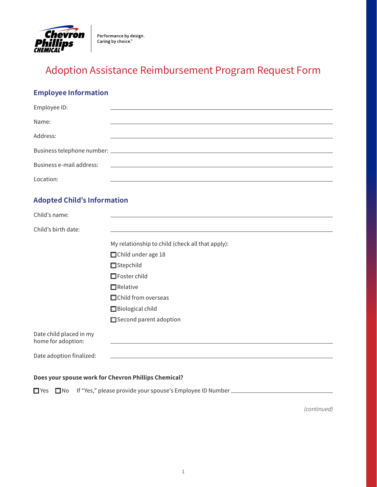

# Adoption Assistance Reimbursement Program Request Form

# **Employee Information**

| Employee ID:                                  |                                                  |
|-----------------------------------------------|--------------------------------------------------|
| Name:                                         |                                                  |
| Address:                                      |                                                  |
|                                               |                                                  |
| Business e-mail address:                      |                                                  |
| Location:                                     |                                                  |
| <b>Adopted Child's Information</b>            |                                                  |
| Child's name:                                 |                                                  |
| Child's birth date:                           |                                                  |
|                                               | My relationship to child (check all that apply): |
|                                               | □ Child under age 18                             |
|                                               | □ Stepchild                                      |
|                                               | $\Box$ Foster child                              |
|                                               | $\Box$ Relative                                  |
|                                               | □ Child from overseas                            |
|                                               | Biological child                                 |
|                                               | Second parent adoption                           |
| Date child placed in my<br>home for adoption: |                                                  |
| Date adoption finalized:                      |                                                  |
|                                               |                                                  |

### **Does your spouse work for Chevron Phillips Chemical?**

 $\Box$  Yes  $\Box$  No If "Yes," please provide your spouse's Employee ID Number  $\Box$ 

(continued)